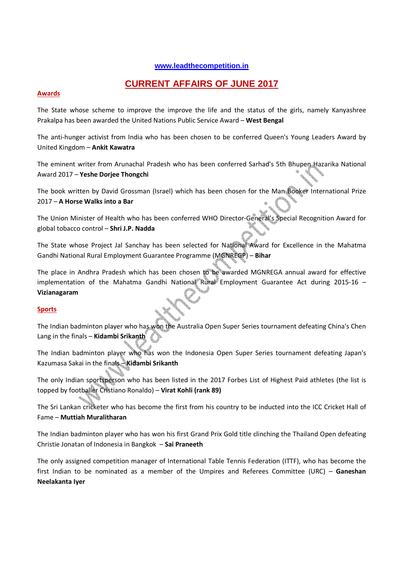# **www.leadthecompetition.in**

# **CURRENT AFFAIRS OF JUNE 2017**

#### **Awards**

The State whose scheme to improve the improve the life and the status of the girls, namely Kanyashree Prakalpa has been awarded the United Nations Public Service Award – **West Bengal** 

The anti-hunger activist from India who has been chosen to be conferred Queen's Young Leaders Award by United Kingdom – **Ankit Kawatra** 

The eminent writer from Arunachal Pradesh who has been conferred Sarhad's 5th Bhupen Hazarika National Award 2017 – **Yeshe Dorjee Thongchi** 

The book written by David Grossman (Israel) which has been chosen for the Man Booker International Prize 2017 – **A Horse Walks into a Bar**

The Union Minister of Health who has been conferred WHO Director-General's Special Recognition Award for global tobacco control – **Shri J.P. Nadda** 

The State whose Project Jal Sanchay has been selected for National Award for Excellence in the Mahatma Gandhi National Rural Employment Guarantee Programme (MGNREGP) – **Bihar**

The place in Andhra Pradesh which has been chosen to be awarded MGNREGA annual award for effective implementation of the Mahatma Gandhi National Rural Employment Guarantee Act during 2015-16 – **Vizianagaram** 

### **Sports**

The Indian badminton player who has won the Australia Open Super Series tournament defeating China's Chen Lang in the finals – **Kidambi Srikanth** 

The Indian badminton player who has won the Indonesia Open Super Series tournament defeating Japan's Kazumasa Sakai in the finals – **Kidambi Srikanth** 

The only Indian sportsperson who has been listed in the 2017 Forbes List of Highest Paid athletes (the list is topped by footballer Cristiano Ronaldo) – **Virat Kohli (rank 89)**

The Sri Lankan cricketer who has become the first from his country to be inducted into the ICC Cricket Hall of Fame – **Muttiah Muralitharan** 

The Indian badminton player who has won his first Grand Prix Gold title clinching the Thailand Open defeating Christie Jonatan of Indonesia in Bangkok – **Sai Praneeth** 

The only assigned competition manager of International Table Tennis Federation (ITTF), who has become the first Indian to be nominated as a member of the Umpires and Referees Committee (URC) – **Ganeshan Neelakanta Iyer**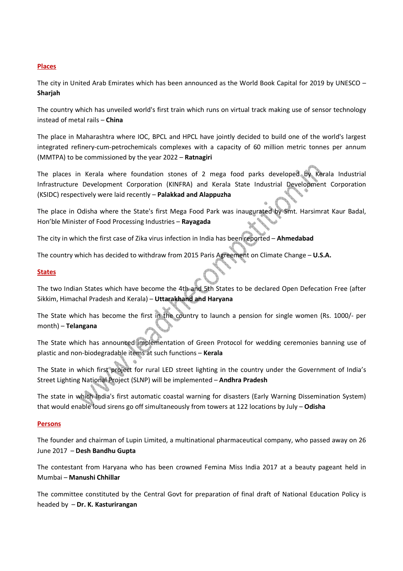## **Places**

The city in United Arab Emirates which has been announced as the World Book Capital for 2019 by UNESCO – **Sharjah**

The country which has unveiled world's first train which runs on virtual track making use of sensor technology instead of metal rails – **China**

The place in Maharashtra where IOC, BPCL and HPCL have jointly decided to build one of the world's largest integrated refinery-cum-petrochemicals complexes with a capacity of 60 million metric tonnes per annum (MMTPA) to be commissioned by the year 2022 – **Ratnagiri** 

The places in Kerala where foundation stones of 2 mega food parks developed by Kerala Industrial Infrastructure Development Corporation (KINFRA) and Kerala State Industrial Development Corporation (KSIDC) respectively were laid recently – **Palakkad and Alappuzha** 

The place in Odisha where the State's first Mega Food Park was inaugurated by Smt. Harsimrat Kaur Badal, Hon'ble Minister of Food Processing Industries – **Rayagada** 

The city in which the first case of Zika virus infection in India has been reported – **Ahmedabad** 

The country which has decided to withdraw from 2015 Paris Agreement on Climate Change – **U.S.A.** 

### **States**

The two Indian States which have become the 4th and 5th States to be declared Open Defecation Free (after Sikkim, Himachal Pradesh and Kerala) – **Uttarakhand and Haryana** 

The State which has become the first in the country to launch a pension for single women (Rs. 1000/- per month) – **Telangana** 

The State which has announced implementation of Green Protocol for wedding ceremonies banning use of plastic and non-biodegradable items at such functions – **Kerala**

The State in which first project for rural LED street lighting in the country under the Government of India's Street Lighting National Project (SLNP) will be implemented – **Andhra Pradesh** 

The state in which India's first automatic coastal warning for disasters (Early Warning Dissemination System) that would enable loud sirens go off simultaneously from towers at 122 locations by July – **Odisha** 

### **Persons**

The founder and chairman of Lupin Limited, a multinational pharmaceutical company, who passed away on 26 June 2017 – **Desh Bandhu Gupta**

The contestant from Haryana who has been crowned Femina Miss India 2017 at a beauty pageant held in Mumbai – **Manushi Chhillar** 

The committee constituted by the Central Govt for preparation of final draft of National Education Policy is headed by – **Dr. K. Kasturirangan**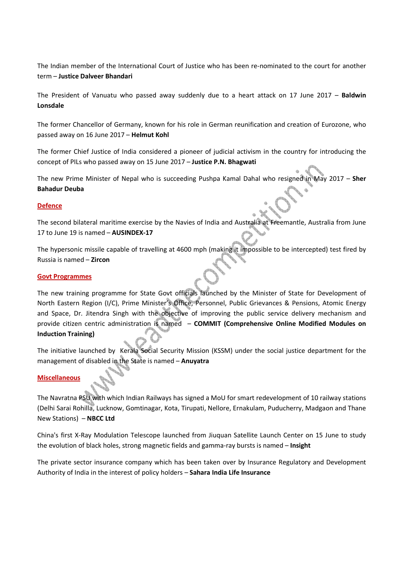The Indian member of the International Court of Justice who has been re-nominated to the court for another term – **Justice Dalveer Bhandari** 

The President of Vanuatu who passed away suddenly due to a heart attack on 17 June 2017 – **Baldwin Lonsdale** 

The former Chancellor of Germany, known for his role in German reunification and creation of Eurozone, who passed away on 16 June 2017 – **Helmut Kohl** 

The former Chief Justice of India considered a pioneer of judicial activism in the country for introducing the concept of PILs who passed away on 15 June 2017 – **Justice P.N. Bhagwati** 

The new Prime Minister of Nepal who is succeeding Pushpa Kamal Dahal who resigned in May 2017 – **Sher Bahadur Deuba** 

### **Defence**

The second bilateral maritime exercise by the Navies of India and Australia at Freemantle, Australia from June 17 to June 19 is named – **AUSINDEX-17** 

The hypersonic missile capable of travelling at 4600 mph (making it impossible to be intercepted) test fired by Russia is named – **Zircon** 

#### **Govt Programmes**

The new training programme for State Govt officials launched by the Minister of State for Development of North Eastern Region (I/C), Prime Minister's Office, Personnel, Public Grievances & Pensions, Atomic Energy and Space, Dr. Jitendra Singh with the objective of improving the public service delivery mechanism and provide citizen centric administration is named – **COMMIT (Comprehensive Online Modified Modules on Induction Training)**

The initiative launched by Kerala Social Security Mission (KSSM) under the social justice department for the management of disabled in the State is named – **Anuyatra**

### **Miscellaneous**

The Navratna PSU with which Indian Railways has signed a MoU for smart redevelopment of 10 railway stations (Delhi Sarai Rohilla, Lucknow, Gomtinagar, Kota, Tirupati, Nellore, Ernakulam, Puducherry, Madgaon and Thane New Stations) – **NBCC Ltd**

China's first X-Ray Modulation Telescope launched from Jiuquan Satellite Launch Center on 15 June to study the evolution of black holes, strong magnetic fields and gamma-ray bursts is named – **Insight**

The private sector insurance company which has been taken over by Insurance Regulatory and Development Authority of India in the interest of policy holders – **Sahara India Life Insurance**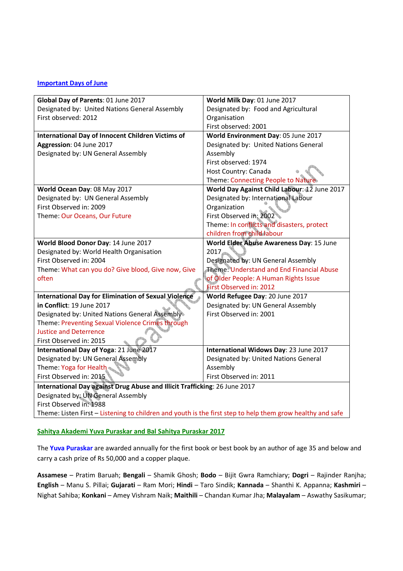### **Important Days of June**

| Global Day of Parents: 01 June 2017                                                                        | World Milk Day: 01 June 2017                 |  |
|------------------------------------------------------------------------------------------------------------|----------------------------------------------|--|
| Designated by: United Nations General Assembly                                                             | Designated by: Food and Agricultural         |  |
| First observed: 2012                                                                                       | Organisation                                 |  |
|                                                                                                            | First observed: 2001                         |  |
| <b>International Day of Innocent Children Victims of</b>                                                   | World Environment Day: 05 June 2017          |  |
| Aggression: 04 June 2017                                                                                   | Designated by: United Nations General        |  |
| Designated by: UN General Assembly                                                                         | Assembly                                     |  |
|                                                                                                            | First observed: 1974                         |  |
|                                                                                                            | Host Country: Canada                         |  |
|                                                                                                            | Theme: Connecting People to Nature           |  |
| World Ocean Day: 08 May 2017                                                                               | World Day Against Child Labour: 12 June 2017 |  |
| Designated by: UN General Assembly                                                                         | Designated by: International Labour          |  |
| First Observed in: 2009                                                                                    | Organization                                 |  |
| Theme: Our Oceans, Our Future                                                                              | First Observed in: 2002                      |  |
|                                                                                                            | Theme: In conflicts and disasters, protect   |  |
|                                                                                                            | children from child labour                   |  |
| World Blood Donor Day: 14 June 2017                                                                        | World Elder Abuse Awareness Day: 15 June     |  |
| Designated by: World Health Organisation                                                                   | 2017                                         |  |
| First Observed in: 2004                                                                                    | Designated by: UN General Assembly           |  |
| Theme: What can you do? Give blood, Give now, Give                                                         | Theme: Understand and End Financial Abuse    |  |
| often                                                                                                      | of Older People: A Human Rights Issue        |  |
|                                                                                                            | First Observed in: 2012                      |  |
| <b>International Day for Elimination of Sexual Violence</b>                                                | World Refugee Day: 20 June 2017              |  |
| in Conflict: 19 June 2017                                                                                  | Designated by: UN General Assembly           |  |
| Designated by: United Nations General Assembly                                                             | First Observed in: 2001                      |  |
| Theme: Preventing Sexual Violence Crimes through                                                           |                                              |  |
| <b>Justice and Deterrence</b>                                                                              |                                              |  |
| First Observed in: 2015                                                                                    |                                              |  |
| International Day of Yoga: 21 June 2017                                                                    | International Widows Day: 23 June 2017       |  |
| Designated by: UN General Assembly                                                                         | Designated by: United Nations General        |  |
| Theme: Yoga for Health                                                                                     | Assembly                                     |  |
| First Observed in: 2015                                                                                    | First Observed in: 2011                      |  |
| International Day against Drug Abuse and Illicit Trafficking: 26 June 2017                                 |                                              |  |
| Designated by: UN General Assembly                                                                         |                                              |  |
| First Observed in: 1988                                                                                    |                                              |  |
| Theme: Listen First - Listening to children and youth is the first step to help them grow healthy and safe |                                              |  |

# **Sahitya Akademi Yuva Puraskar and Bal Sahitya Puraskar 2017**

The **Yuva Puraskar** are awarded annually for the first book or best book by an author of age 35 and below and carry a cash prize of Rs 50,000 and a copper plaque.

**Assamese** – Pratim Baruah; **Bengali** – Shamik Ghosh; **Bodo** – Bijit Gwra Ramchiary; **Dogri** – Rajinder Ranjha; **English** – Manu S. Pillai; **Gujarati** – Ram Mori; **Hindi** – Taro Sindik; **Kannada** – Shanthi K. Appanna; **Kashmiri** – Nighat Sahiba; **Konkani** – Amey Vishram Naik; **Maithili** – Chandan Kumar Jha; **Malayalam** – Aswathy Sasikumar;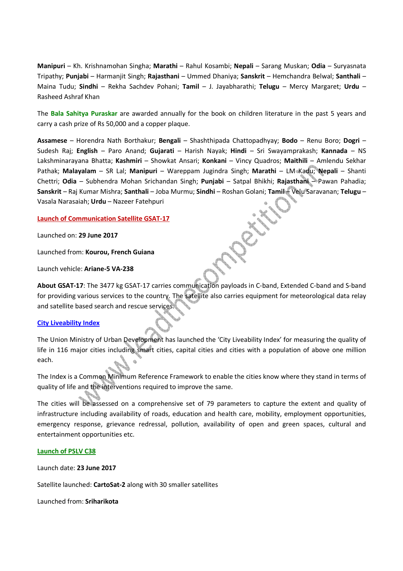**Manipuri** – Kh. Krishnamohan Singha; **Marathi** – Rahul Kosambi; **Nepali** – Sarang Muskan; **Odia** – Suryasnata Tripathy; **Punjabi** – Harmanjit Singh; **Rajasthani** – Ummed Dhaniya; **Sanskrit** – Hemchandra Belwal; **Santhali** – Maina Tudu; **Sindhi** – Rekha Sachdev Pohani; **Tamil** – J. Jayabharathi; **Telugu** – Mercy Margaret; **Urdu** – Rasheed Ashraf Khan

The **Bala Sahitya Puraskar** are awarded annually for the book on children literature in the past 5 years and carry a cash prize of Rs 50,000 and a copper plaque.

**Assamese** – Horendra Nath Borthakur; **Bengali** – Shashthipada Chattopadhyay; **Bodo** – Renu Boro; **Dogri** – Sudesh Raj; **English** – Paro Anand; **Gujarati** – Harish Nayak; **Hindi** – Sri Swayamprakash; **Kannada** – NS Lakshminarayana Bhatta; **Kashmiri** – Showkat Ansari; **Konkani** – Vincy Quadros; **Maithili** – Amlendu Sekhar Pathak; **Malayalam** – SR Lal; **Manipuri** – Wareppam Jugindra Singh; **Marathi** – LM Kadu; **Nepali** – Shanti Chettri; **Odia** – Subhendra Mohan Srichandan Singh; **Punjabi** – Satpal Bhikhi; **Rajasthani** – Pawan Pahadia; **Sanskrit** – Raj Kumar Mishra; **Santhali** – Joba Murmu; **Sindhi** – Roshan Golani; **Tamil** – Velu Saravanan; **Telugu** – Vasala Narasaiah; **Urdu** – Nazeer Fatehpuri

### **Launch of Communication Satellite GSAT-17**

Launched on: **29 June 2017**

Launched from: **Kourou, French Guiana**

Launch vehicle: **Ariane-5 VA-238**

**About GSAT-17**: The 3477 kg GSAT-17 carries communication payloads in C-band, Extended C-band and S-band for providing various services to the country. The satellite also carries equipment for meteorological data relay and satellite based search and rescue services.

### **City Liveability Index**

The Union Ministry of Urban Development has launched the 'City Liveability Index' for measuring the quality of life in 116 major cities including smart cities, capital cities and cities with a population of above one million each.

The Index is a Common Minimum Reference Framework to enable the cities know where they stand in terms of quality of life and the interventions required to improve the same.

The cities will be assessed on a comprehensive set of 79 parameters to capture the extent and quality of infrastructure including availability of roads, education and health care, mobility, employment opportunities, emergency response, grievance redressal, pollution, availability of open and green spaces, cultural and entertainment opportunities etc.

#### **Launch of PSLV C38**

Launch date: **23 June 2017**

Satellite launched: **CartoSat-2** along with 30 smaller satellites

Launched from: **Sriharikota**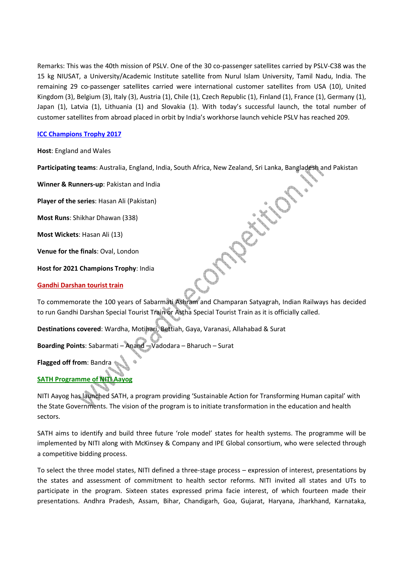Remarks: This was the 40th mission of PSLV. One of the 30 co-passenger satellites carried by PSLV-C38 was the 15 kg NIUSAT, a University/Academic Institute satellite from Nurul Islam University, Tamil Nadu, India. The remaining 29 co-passenger satellites carried were international customer satellites from USA (10), United Kingdom (3), Belgium (3), Italy (3), Austria (1), Chile (1), Czech Republic (1), Finland (1), France (1), Germany (1), Japan (1), Latvia (1), Lithuania (1) and Slovakia (1). With today's successful launch, the total number of customer satellites from abroad placed in orbit by India's workhorse launch vehicle PSLV has reached 209.

## **ICC Champions Trophy 2017**

**Host**: England and Wales

**Participating teams**: Australia, England, India, South Africa, New Zealand, Sri Lanka, Bangladesh and Pakistan

**Winner & Runners-up**: Pakistan and India

**Player of the series**: Hasan Ali (Pakistan)

**Most Runs**: Shikhar Dhawan (338)

**Most Wickets**: Hasan Ali (13)

**Venue for the finals**: Oval, London

**Host for 2021 Champions Trophy**: India

#### **Gandhi Darshan tourist train**

To commemorate the 100 years of Sabarmati Ashram and Champaran Satyagrah, Indian Railways has decided to run Gandhi Darshan Special Tourist Train or Astha Special Tourist Train as it is officially called.

**Destinations covered**: Wardha, Motihari, Bettiah, Gaya, Varanasi, Allahabad & Surat

**Boarding Points**: Sabarmati – Anand – Vadodara – Bharuch – Surat

**Flagged off from**: Bandra

# **SATH Programme of NITI Aayog**

NITI Aayog has launched SATH, a program providing 'Sustainable Action for Transforming Human capital' with the State Governments. The vision of the program is to initiate transformation in the education and health sectors.

SATH aims to identify and build three future 'role model' states for health systems. The programme will be implemented by NITI along with McKinsey & Company and IPE Global consortium, who were selected through a competitive bidding process.

To select the three model states, NITI defined a three-stage process – expression of interest, presentations by the states and assessment of commitment to health sector reforms. NITI invited all states and UTs to participate in the program. Sixteen states expressed prima facie interest, of which fourteen made their presentations. Andhra Pradesh, Assam, Bihar, Chandigarh, Goa, Gujarat, Haryana, Jharkhand, Karnataka,